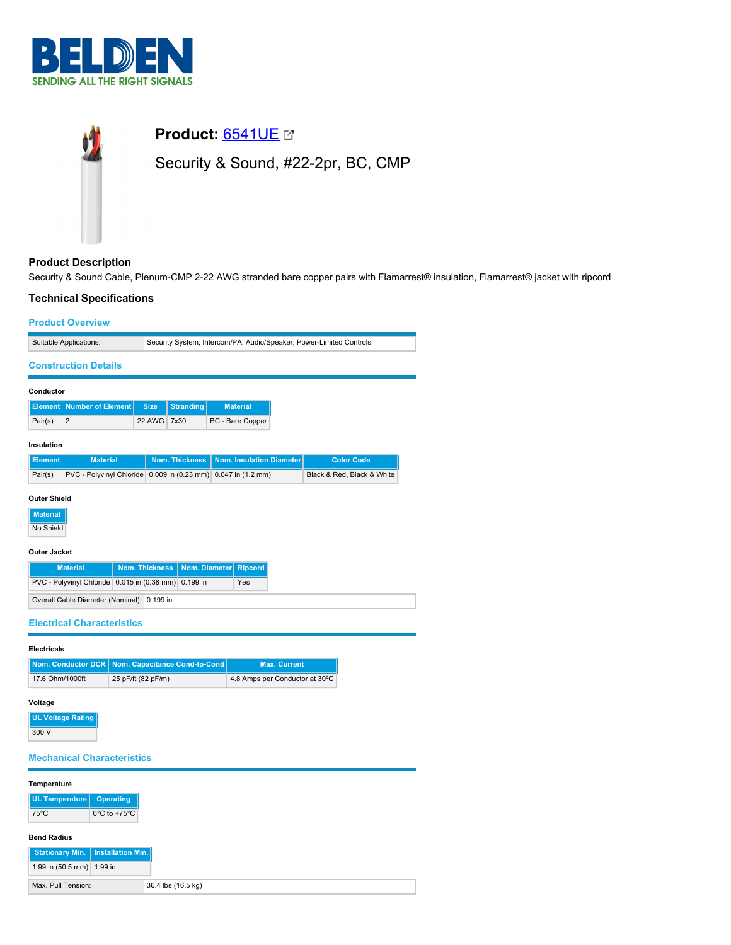



# **Product Description**

Security & Sound Cable, Plenum-CMP 2-22 AWG stranded bare copper pairs with Flamarrest® insulation, Flamarrest® jacket with ripcord

# **Technical Specifications**

| <b>Product Overview</b>                                                                                                                                                  |                                                                     |             |                           |  |                         |                                |  |                            |
|--------------------------------------------------------------------------------------------------------------------------------------------------------------------------|---------------------------------------------------------------------|-------------|---------------------------|--|-------------------------|--------------------------------|--|----------------------------|
| Suitable Applications:                                                                                                                                                   | Security System, Intercom/PA, Audio/Speaker, Power-Limited Controls |             |                           |  |                         |                                |  |                            |
| <b>Construction Details</b>                                                                                                                                              |                                                                     |             |                           |  |                         |                                |  |                            |
| Conductor                                                                                                                                                                |                                                                     |             |                           |  |                         |                                |  |                            |
| <b>Number of Element</b><br><b>Element</b>                                                                                                                               |                                                                     | <b>Size</b> | <b>Stranding</b>          |  | <b>Material</b>         |                                |  |                            |
| Pair(s)<br>2                                                                                                                                                             |                                                                     | 22 AWG      | 7x30                      |  | <b>BC</b> - Bare Copper |                                |  |                            |
| Insulation                                                                                                                                                               |                                                                     |             |                           |  |                         |                                |  |                            |
| <b>Element</b><br><b>Material</b>                                                                                                                                        |                                                                     |             | <b>Nom. Thickness</b>     |  |                         | Nom. Insulation Diameter       |  | <b>Color Code</b>          |
| PVC - Polyvinyl Chloride 0.009 in (0.23 mm) 0.047 in (1.2 mm)<br>Pair(s)                                                                                                 |                                                                     |             |                           |  |                         |                                |  | Black & Red, Black & White |
| <b>Outer Jacket</b><br><b>Material</b><br>PVC - Polyvinyl Chloride 0.015 in (0.38 mm)<br>Overall Cable Diameter (Nominal): 0.199 in<br><b>Electrical Characteristics</b> | <b>Nom. Thickness</b>                                               |             | Nom. Diameter<br>0.199 in |  | <b>Ripcord</b><br>Yes   |                                |  |                            |
| <b>Electricals</b>                                                                                                                                                       |                                                                     |             |                           |  |                         |                                |  |                            |
| Nom. Conductor DCR   Nom. Capacitance Cond-to-Cond                                                                                                                       |                                                                     |             |                           |  |                         | <b>Max. Current</b>            |  |                            |
| 17.6 Ohm/1000ft                                                                                                                                                          | 25 pF/ft (82 pF/m)                                                  |             |                           |  |                         | 4.8 Amps per Conductor at 30°C |  |                            |
| Voltage<br><b>UL Voltage Rating</b><br>300 V                                                                                                                             |                                                                     |             |                           |  |                         |                                |  |                            |
| <b>Mechanical Characteristics</b>                                                                                                                                        |                                                                     |             |                           |  |                         |                                |  |                            |
| Temperature                                                                                                                                                              |                                                                     |             |                           |  |                         |                                |  |                            |
| <b>UL Temperature</b><br>$75^{\circ}$ C                                                                                                                                  | <b>Operating</b><br>0°C to +75°C                                    |             |                           |  |                         |                                |  |                            |
|                                                                                                                                                                          |                                                                     |             |                           |  |                         |                                |  |                            |

### **Bend Radius**

| Stationary Min.   Installation Min. |                    |
|-------------------------------------|--------------------|
| 1.99 in $(50.5 \text{ mm})$ 1.99 in |                    |
| Max. Pull Tension:                  | 36.4 lbs (16.5 kg) |